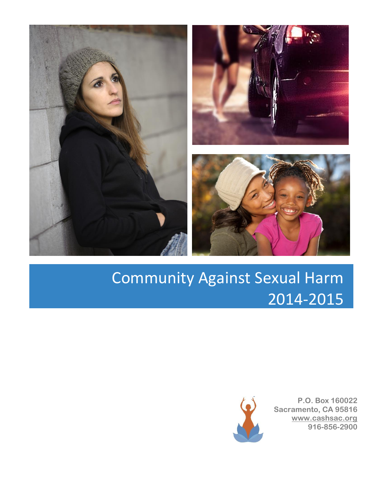

# Community Against Sexual Harm 2014-2015



**P.O. Box 160022 Sacramento, CA 95816 [www.cashsac.org](http://www.cashsac.org/) 916-856-2900**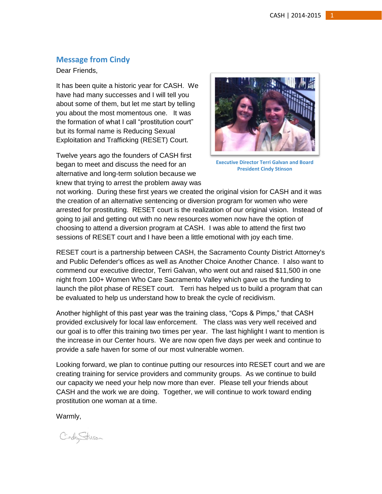## **Message from Cindy**

#### Dear Friends,

It has been quite a historic year for CASH. We have had many successes and I will tell you about some of them, but let me start by telling you about the most momentous one. It was the formation of what I call "prostitution court" but its formal name is Reducing Sexual Exploitation and Trafficking (RESET) Court.

Twelve years ago the founders of CASH first began to meet and discuss the need for an alternative and long-term solution because we knew that trying to arrest the problem away was



**Executive Director Terri Galvan and Board President Cindy Stinson**

not working. During these first years we created the original vision for CASH and it was the creation of an alternative sentencing or diversion program for women who were arrested for prostituting. RESET court is the realization of our original vision. Instead of going to jail and getting out with no new resources women now have the option of choosing to attend a diversion program at CASH. I was able to attend the first two sessions of RESET court and I have been a little emotional with joy each time.

RESET court is a partnership between CASH, the Sacramento County District Attorney's and Public Defender's offices as well as Another Choice Another Chance. I also want to commend our executive director, Terri Galvan, who went out and raised \$11,500 in one night from 100+ Women Who Care Sacramento Valley which gave us the funding to launch the pilot phase of RESET court. Terri has helped us to build a program that can be evaluated to help us understand how to break the cycle of recidivism.

Another highlight of this past year was the training class, "Cops & Pimps," that CASH provided exclusively for local law enforcement. The class was very well received and our goal is to offer this training two times per year. The last highlight I want to mention is the increase in our Center hours. We are now open five days per week and continue to provide a safe haven for some of our most vulnerable women.

Looking forward, we plan to continue putting our resources into RESET court and we are creating training for service providers and community groups. As we continue to build our capacity we need your help now more than ever. Please tell your friends about CASH and the work we are doing. Together, we will continue to work toward ending prostitution one woman at a time.

Warmly,

CindyStinson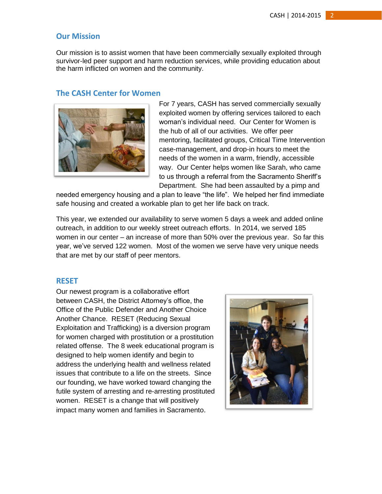## **Our Mission**

Our mission is to assist women that have been commercially sexually exploited through survivor-led peer support and harm reduction services, while providing education about the harm inflicted on women and the community.

## **The CASH Center for Women**



For 7 years, CASH has served commercially sexually exploited women by offering services tailored to each woman's individual need. Our Center for Women is the hub of all of our activities. We offer peer mentoring, facilitated groups, Critical Time Intervention case-management, and drop-in hours to meet the needs of the women in a warm, friendly, accessible way. Our Center helps women like Sarah, who came to us through a referral from the Sacramento Sheriff's Department. She had been assaulted by a pimp and

needed emergency housing and a plan to leave "the life". We helped her find immediate safe housing and created a workable plan to get her life back on track.

This year, we extended our availability to serve women 5 days a week and added online outreach, in addition to our weekly street outreach efforts. In 2014, we served 185 women in our center – an increase of more than 50% over the previous year. So far this year, we've served 122 women. Most of the women we serve have very unique needs that are met by our staff of peer mentors.

## **RESET**

Our newest program is a collaborative effort between CASH, the District Attorney's office, the Office of the Public Defender and Another Choice Another Chance. RESET (Reducing Sexual Exploitation and Trafficking) is a diversion program for women charged with prostitution or a prostitution related offense. The 8 week educational program is designed to help women identify and begin to address the underlying health and wellness related issues that contribute to a life on the streets. Since our founding, we have worked toward changing the futile system of arresting and re-arresting prostituted women. RESET is a change that will positively impact many women and families in Sacramento.

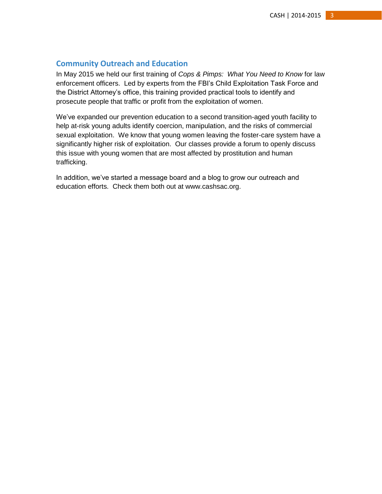## **Community Outreach and Education**

In May 2015 we held our first training of *Cops & Pimps: What You Need to Know* for law enforcement officers. Led by experts from the FBI's Child Exploitation Task Force and the District Attorney's office, this training provided practical tools to identify and prosecute people that traffic or profit from the exploitation of women.

We've expanded our prevention education to a second transition-aged youth facility to help at-risk young adults identify coercion, manipulation, and the risks of commercial sexual exploitation. We know that young women leaving the foster-care system have a significantly higher risk of exploitation. Our classes provide a forum to openly discuss this issue with young women that are most affected by prostitution and human trafficking.

In addition, we've started a message board and a blog to grow our outreach and education efforts. Check them both out at www.cashsac.org.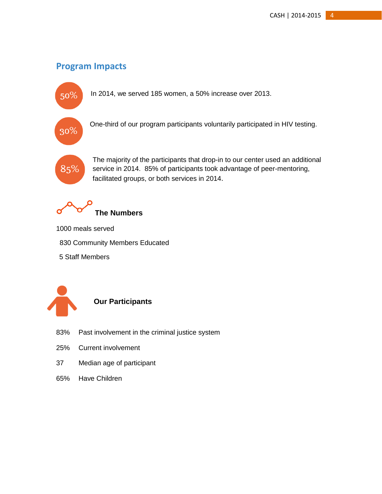# **Program Impacts**

In 2014, we served 185 women, a 50% increase over 2013.



50%

One-third of our program participants voluntarily participated in HIV testing.



The majority of the participants that drop-in to our center used an additional service in 2014. 85% of participants took advantage of peer-mentoring, facilitated groups, or both services in 2014.



- 1000 meals served
- 830 Community Members Educated
- 5 Staff Members



## **Our Participants**

- 83% Past involvement in the criminal justice system
- 25% Current involvement
- 37 Median age of participant
- 65% Have Children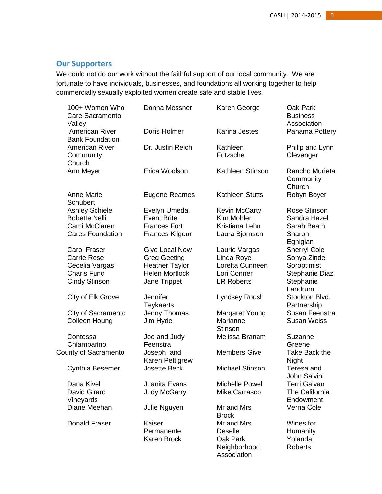# **Our Supporters**

We could not do our work without the faithful support of our local community. We are fortunate to have individuals, businesses, and foundations all working together to help commercially sexually exploited women create safe and stable lives.

| 100+ Women Who<br>Care Sacramento<br>Valley                                                               | Donna Messner                                                                                                  | Karen George                                                                       | Oak Park<br><b>Business</b><br>Association                                            |
|-----------------------------------------------------------------------------------------------------------|----------------------------------------------------------------------------------------------------------------|------------------------------------------------------------------------------------|---------------------------------------------------------------------------------------|
| <b>American River</b><br><b>Bank Foundation</b>                                                           | Doris Holmer                                                                                                   | Karina Jestes                                                                      | Panama Pottery                                                                        |
| American River<br>Community<br>Church                                                                     | Dr. Justin Reich                                                                                               | Kathleen<br>Fritzsche                                                              | Philip and Lynn<br>Clevenger                                                          |
| Ann Meyer                                                                                                 | Erica Woolson                                                                                                  | Kathleen Stinson                                                                   | Rancho Murieta<br>Community<br>Church                                                 |
| <b>Anne Marie</b><br><b>Schubert</b>                                                                      | Eugene Reames                                                                                                  | <b>Kathleen Stutts</b>                                                             | Robyn Boyer                                                                           |
| <b>Ashley Schiele</b><br><b>Bobette Nelli</b><br>Cami McClaren<br><b>Cares Foundation</b>                 | Evelyn Umeda<br><b>Event Brite</b><br><b>Frances Fort</b><br><b>Frances Kilgour</b>                            | Kevin McCarty<br>Kim Mohler<br>Kristiana Lehn<br>Laura Bjornsen                    | Rose Stinson<br>Sandra Hazel<br>Sarah Beath<br>Sharon<br>Eghigian                     |
| <b>Carol Fraser</b><br><b>Carrie Rose</b><br>Cecelia Vargas<br><b>Charis Fund</b><br><b>Cindy Stinson</b> | <b>Give Local Now</b><br><b>Greg Geeting</b><br><b>Heather Taylor</b><br><b>Helen Mortlock</b><br>Jane Trippet | Laurie Vargas<br>Linda Roye<br>Loretta Cunneen<br>Lori Conner<br><b>LR Roberts</b> | Sherryl Cole<br>Sonya Zindel<br>Soroptimist<br>Stephanie Diaz<br>Stephanie<br>Landrum |
| City of Elk Grove                                                                                         | Jennifer<br><b>Teykaerts</b>                                                                                   | Lyndsey Roush                                                                      | Stockton Blvd.<br>Partnership                                                         |
| City of Sacramento<br>Colleen Houng                                                                       | Jenny Thomas<br>Jim Hyde                                                                                       | <b>Margaret Young</b><br>Marianne<br><b>Stinson</b>                                | Susan Feenstra<br><b>Susan Weiss</b>                                                  |
| Contessa<br>Chiamparino                                                                                   | Joe and Judy<br>Feenstra                                                                                       | Melissa Branam                                                                     | Suzanne<br>Greene                                                                     |
| County of Sacramento                                                                                      | Joseph and<br><b>Karen Pettigrew</b>                                                                           | <b>Members Give</b>                                                                | Take Back the<br><b>Night</b>                                                         |
| Cynthia Besemer                                                                                           | <b>Josette Beck</b>                                                                                            | <b>Michael Stinson</b>                                                             | Teresa and<br>John Salvini                                                            |
| Dana Kivel<br><b>David Girard</b><br>Vineyards                                                            | Juanita Evans<br><b>Judy McGarry</b>                                                                           | Michelle Powell<br>Mike Carrasco                                                   | Terri Galvan<br>The California<br>Endowment                                           |
| Diane Meehan                                                                                              | Julie Nguyen                                                                                                   | Mr and Mrs<br><b>Brock</b>                                                         | Verna Cole                                                                            |
| <b>Donald Fraser</b>                                                                                      | Kaiser<br>Permanente<br>Karen Brock                                                                            | Mr and Mrs<br><b>Deselle</b><br>Oak Park<br>Neighborhood<br>Association            | Wines for<br>Humanity<br>Yolanda<br><b>Roberts</b>                                    |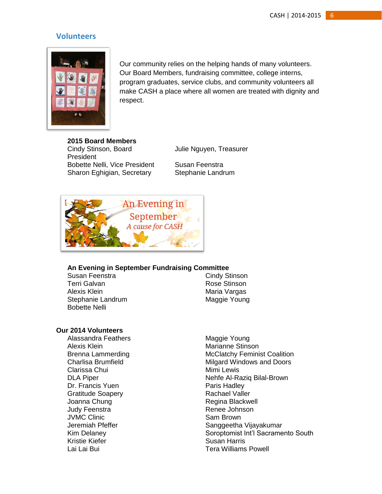## **Volunteers**



Our community relies on the helping hands of many volunteers. Our Board Members, fundraising committee, college interns, program graduates, service clubs, and community volunteers all make CASH a place where all women are treated with dignity and respect.

## **2015 Board Members**

Cindy Stinson, Board President Bobette Nelli, Vice President Susan Feenstra Sharon Eghigian, Secretary Stephanie Landrum

Julie Nguyen, Treasurer



### **An Evening in September Fundraising Committee**

Susan Feenstra **Cindy Stinson** Terri Galvan **Rose** Stinson Alexis Klein **Maria Vargas** Maria Vargas Stephanie Landrum Maggie Young Bobette Nelli

## **Our 2014 Volunteers**

Alassandra Feathers Maggie Young Alexis Klein **Marianne** Stinson Clarissa Chui **Mimi Lewis** Clarissa Chui Mimi Lewis Dr. Francis Yuen **Paris Hadley** Gratitude Soapery **Rachael Valler** Rachael Valler Joanna Chung **Regina Blackwell** Judy Feenstra Renee Johnson JVMC Clinic **Sam Brown** Kristie Kiefer **Susan Harris** Susan Harris

Brenna Lammerding The McClatchy Feminist Coalition Charlisa Brumfield **Charlisa Brumfield** Milgard Windows and Doors DLA Piper Nehfe Al-Raziq Bilal-Brown Jeremiah Pfeffer Sanggeetha Vijayakumar Kim Delaney **Soroptomist Int'l Sacramento South** Lai Lai Bui Tera Williams Powell